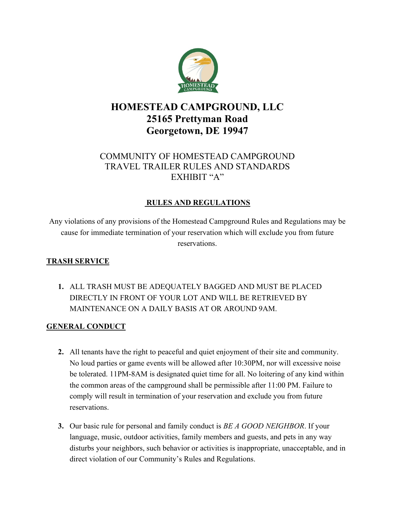

# **HOMESTEAD CAMPGROUND, LLC 25165 Prettyman Road Georgetown, DE 19947**

# COMMUNITY OF HOMESTEAD CAMPGROUND TRAVEL TRAILER RULES AND STANDARDS EXHIBIT "A"

## **RULES AND REGULATIONS**

Any violations of any provisions of the Homestead Campground Rules and Regulations may be cause for immediate termination of your reservation which will exclude you from future reservations.

### **TRASH SERVICE**

**1.** ALL TRASH MUST BE ADEQUATELY BAGGED AND MUST BE PLACED DIRECTLY IN FRONT OF YOUR LOT AND WILL BE RETRIEVED BY MAINTENANCE ON A DAILY BASIS AT OR AROUND 9AM.

### **GENERAL CONDUCT**

- **2.** All tenants have the right to peaceful and quiet enjoyment of their site and community. No loud parties or game events will be allowed after 10:30PM, nor will excessive noise be tolerated. 11PM-8AM is designated quiet time for all. No loitering of any kind within the common areas of the campground shall be permissible after 11:00 PM. Failure to comply will result in termination of your reservation and exclude you from future reservations.
- **3.** Our basic rule for personal and family conduct is *BE A GOOD NEIGHBOR*. If your language, music, outdoor activities, family members and guests, and pets in any way disturbs your neighbors, such behavior or activities is inappropriate, unacceptable, and in direct violation of our Community's Rules and Regulations.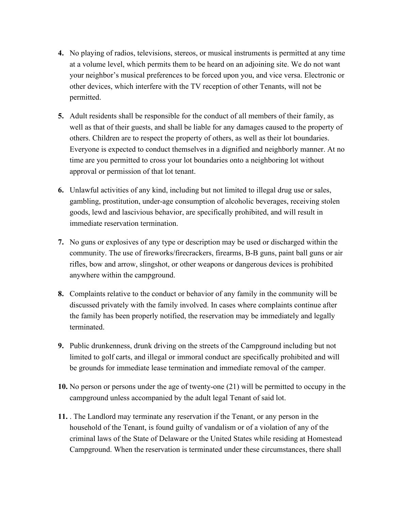- **4.** No playing of radios, televisions, stereos, or musical instruments is permitted at any time at a volume level, which permits them to be heard on an adjoining site. We do not want your neighbor's musical preferences to be forced upon you, and vice versa. Electronic or other devices, which interfere with the TV reception of other Tenants, will not be permitted.
- **5.** Adult residents shall be responsible for the conduct of all members of their family, as well as that of their guests, and shall be liable for any damages caused to the property of others. Children are to respect the property of others, as well as their lot boundaries. Everyone is expected to conduct themselves in a dignified and neighborly manner. At no time are you permitted to cross your lot boundaries onto a neighboring lot without approval or permission of that lot tenant.
- **6.** Unlawful activities of any kind, including but not limited to illegal drug use or sales, gambling, prostitution, under-age consumption of alcoholic beverages, receiving stolen goods, lewd and lascivious behavior, are specifically prohibited, and will result in immediate reservation termination.
- **7.** No guns or explosives of any type or description may be used or discharged within the community. The use of fireworks/firecrackers, firearms, B-B guns, paint ball guns or air rifles, bow and arrow, slingshot, or other weapons or dangerous devices is prohibited anywhere within the campground.
- **8.** Complaints relative to the conduct or behavior of any family in the community will be discussed privately with the family involved. In cases where complaints continue after the family has been properly notified, the reservation may be immediately and legally terminated.
- **9.** Public drunkenness, drunk driving on the streets of the Campground including but not limited to golf carts, and illegal or immoral conduct are specifically prohibited and will be grounds for immediate lease termination and immediate removal of the camper.
- **10.** No person or persons under the age of twenty-one (21) will be permitted to occupy in the campground unless accompanied by the adult legal Tenant of said lot.
- **11.** . The Landlord may terminate any reservation if the Tenant, or any person in the household of the Tenant, is found guilty of vandalism or of a violation of any of the criminal laws of the State of Delaware or the United States while residing at Homestead Campground. When the reservation is terminated under these circumstances, there shall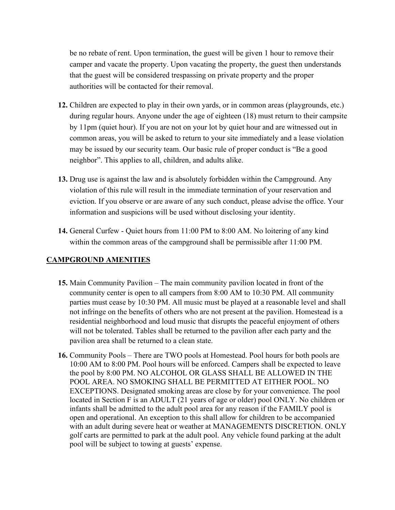be no rebate of rent. Upon termination, the guest will be given 1 hour to remove their camper and vacate the property. Upon vacating the property, the guest then understands that the guest will be considered trespassing on private property and the proper authorities will be contacted for their removal.

- **12.** Children are expected to play in their own yards, or in common areas (playgrounds, etc.) during regular hours. Anyone under the age of eighteen (18) must return to their campsite by 11pm (quiet hour). If you are not on your lot by quiet hour and are witnessed out in common areas, you will be asked to return to your site immediately and a lease violation may be issued by our security team. Our basic rule of proper conduct is "Be a good neighbor". This applies to all, children, and adults alike.
- **13.** Drug use is against the law and is absolutely forbidden within the Campground. Any violation of this rule will result in the immediate termination of your reservation and eviction. If you observe or are aware of any such conduct, please advise the office. Your information and suspicions will be used without disclosing your identity.
- **14.** General Curfew Quiet hours from 11:00 PM to 8:00 AM. No loitering of any kind within the common areas of the campground shall be permissible after 11:00 PM.

#### **CAMPGROUND AMENITIES**

- **15.** Main Community Pavilion The main community pavilion located in front of the community center is open to all campers from 8:00 AM to 10:30 PM. All community parties must cease by 10:30 PM. All music must be played at a reasonable level and shall not infringe on the benefits of others who are not present at the pavilion. Homestead is a residential neighborhood and loud music that disrupts the peaceful enjoyment of others will not be tolerated. Tables shall be returned to the pavilion after each party and the pavilion area shall be returned to a clean state.
- **16.** Community Pools There are TWO pools at Homestead. Pool hours for both pools are 10:00 AM to 8:00 PM. Pool hours will be enforced. Campers shall be expected to leave the pool by 8:00 PM. NO ALCOHOL OR GLASS SHALL BE ALLOWED IN THE POOL AREA. NO SMOKING SHALL BE PERMITTED AT EITHER POOL. NO EXCEPTIONS. Designated smoking areas are close by for your convenience. The pool located in Section F is an ADULT (21 years of age or older) pool ONLY. No children or infants shall be admitted to the adult pool area for any reason if the FAMILY pool is open and operational. An exception to this shall allow for children to be accompanied with an adult during severe heat or weather at MANAGEMENTS DISCRETION. ONLY golf carts are permitted to park at the adult pool. Any vehicle found parking at the adult pool will be subject to towing at guests' expense.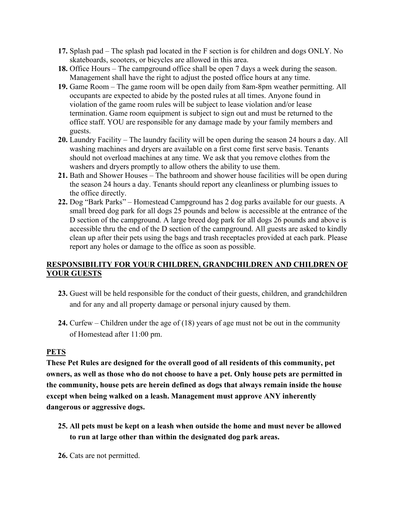- **17.** Splash pad The splash pad located in the F section is for children and dogs ONLY. No skateboards, scooters, or bicycles are allowed in this area.
- **18.** Office Hours The campground office shall be open 7 days a week during the season. Management shall have the right to adjust the posted office hours at any time.
- **19.** Game Room The game room will be open daily from 8am-8pm weather permitting. All occupants are expected to abide by the posted rules at all times. Anyone found in violation of the game room rules will be subject to lease violation and/or lease termination. Game room equipment is subject to sign out and must be returned to the office staff. YOU are responsible for any damage made by your family members and guests.
- **20.** Laundry Facility The laundry facility will be open during the season 24 hours a day. All washing machines and dryers are available on a first come first serve basis. Tenants should not overload machines at any time. We ask that you remove clothes from the washers and dryers promptly to allow others the ability to use them.
- **21.** Bath and Shower Houses The bathroom and shower house facilities will be open during the season 24 hours a day. Tenants should report any cleanliness or plumbing issues to the office directly.
- **22.** Dog "Bark Parks" Homestead Campground has 2 dog parks available for our guests. A small breed dog park for all dogs 25 pounds and below is accessible at the entrance of the D section of the campground. A large breed dog park for all dogs 26 pounds and above is accessible thru the end of the D section of the campground. All guests are asked to kindly clean up after their pets using the bags and trash receptacles provided at each park. Please report any holes or damage to the office as soon as possible.

### **RESPONSIBILITY FOR YOUR CHILDREN, GRANDCHILDREN AND CHILDREN OF YOUR GUESTS**

- **23.** Guest will be held responsible for the conduct of their guests, children, and grandchildren and for any and all property damage or personal injury caused by them.
- **24.** Curfew Children under the age of (18) years of age must not be out in the community of Homestead after 11:00 pm.

#### **PETS**

**These Pet Rules are designed for the overall good of all residents of this community, pet owners, as well as those who do not choose to have a pet. Only house pets are permitted in the community, house pets are herein defined as dogs that always remain inside the house except when being walked on a leash. Management must approve ANY inherently dangerous or aggressive dogs.**

- **25. All pets must be kept on a leash when outside the home and must never be allowed to run at large other than within the designated dog park areas.**
- **26.** Cats are not permitted.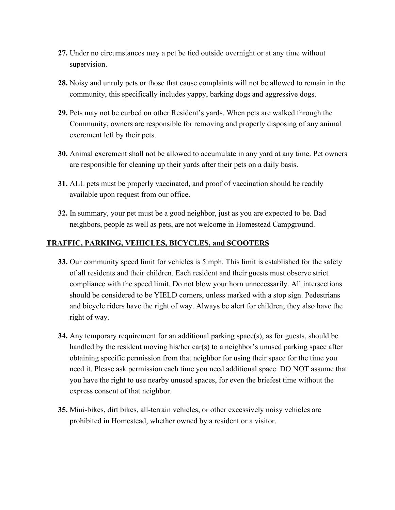- **27.** Under no circumstances may a pet be tied outside overnight or at any time without supervision.
- **28.** Noisy and unruly pets or those that cause complaints will not be allowed to remain in the community, this specifically includes yappy, barking dogs and aggressive dogs.
- **29.** Pets may not be curbed on other Resident's yards. When pets are walked through the Community, owners are responsible for removing and properly disposing of any animal excrement left by their pets.
- **30.** Animal excrement shall not be allowed to accumulate in any yard at any time. Pet owners are responsible for cleaning up their yards after their pets on a daily basis.
- **31.** ALL pets must be properly vaccinated, and proof of vaccination should be readily available upon request from our office.
- **32.** In summary, your pet must be a good neighbor, just as you are expected to be. Bad neighbors, people as well as pets, are not welcome in Homestead Campground.

#### **TRAFFIC, PARKING, VEHICLES, BICYCLES, and SCOOTERS**

- **33.** Our community speed limit for vehicles is 5 mph. This limit is established for the safety of all residents and their children. Each resident and their guests must observe strict compliance with the speed limit. Do not blow your horn unnecessarily. All intersections should be considered to be YIELD corners, unless marked with a stop sign. Pedestrians and bicycle riders have the right of way. Always be alert for children; they also have the right of way.
- **34.** Any temporary requirement for an additional parking space(s), as for guests, should be handled by the resident moving his/her car(s) to a neighbor's unused parking space after obtaining specific permission from that neighbor for using their space for the time you need it. Please ask permission each time you need additional space. DO NOT assume that you have the right to use nearby unused spaces, for even the briefest time without the express consent of that neighbor.
- **35.** Mini-bikes, dirt bikes, all-terrain vehicles, or other excessively noisy vehicles are prohibited in Homestead, whether owned by a resident or a visitor.